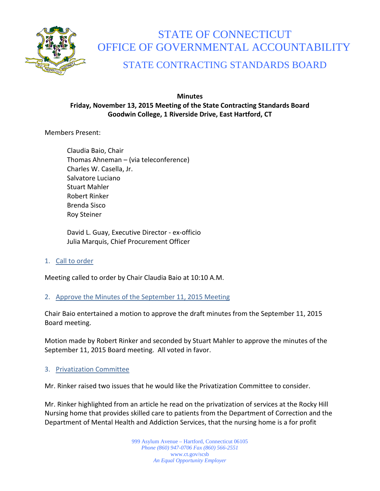

# STATE OF CONNECTICUT OFFICE OF GOVERNMENTAL ACCOUNTABILITY

# STATE CONTRACTING STANDARDS BOARD

# **Minutes Friday, November 13, 2015 Meeting of the State Contracting Standards Board Goodwin College, 1 Riverside Drive, East Hartford, CT**

Members Present:

Claudia Baio, Chair Thomas Ahneman – (via teleconference) Charles W. Casella, Jr. Salvatore Luciano Stuart Mahler Robert Rinker Brenda Sisco Roy Steiner

David L. Guay, Executive Director - ex-officio Julia Marquis, Chief Procurement Officer

1. Call to order

Meeting called to order by Chair Claudia Baio at 10:10 A.M.

2. Approve the Minutes of the September 11, 2015 Meeting

Chair Baio entertained a motion to approve the draft minutes from the September 11, 2015 Board meeting.

Motion made by Robert Rinker and seconded by Stuart Mahler to approve the minutes of the September 11, 2015 Board meeting. All voted in favor.

# 3. Privatization Committee

Mr. Rinker raised two issues that he would like the Privatization Committee to consider.

Mr. Rinker highlighted from an article he read on the privatization of services at the Rocky Hill Nursing home that provides skilled care to patients from the Department of Correction and the Department of Mental Health and Addiction Services, that the nursing home is a for profit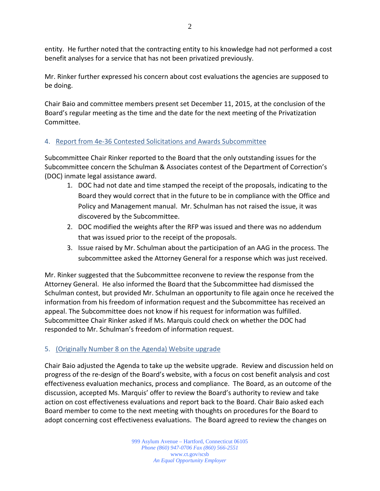entity. He further noted that the contracting entity to his knowledge had not performed a cost benefit analyses for a service that has not been privatized previously.

Mr. Rinker further expressed his concern about cost evaluations the agencies are supposed to be doing.

Chair Baio and committee members present set December 11, 2015, at the conclusion of the Board's regular meeting as the time and the date for the next meeting of the Privatization Committee.

# 4. Report from 4e-36 Contested Solicitations and Awards Subcommittee

Subcommittee Chair Rinker reported to the Board that the only outstanding issues for the Subcommittee concern the Schulman & Associates contest of the Department of Correction's (DOC) inmate legal assistance award.

- 1. DOC had not date and time stamped the receipt of the proposals, indicating to the Board they would correct that in the future to be in compliance with the Office and Policy and Management manual. Mr. Schulman has not raised the issue, it was discovered by the Subcommittee.
- 2. DOC modified the weights after the RFP was issued and there was no addendum that was issued prior to the receipt of the proposals.
- 3. Issue raised by Mr. Schulman about the participation of an AAG in the process. The subcommittee asked the Attorney General for a response which was just received.

Mr. Rinker suggested that the Subcommittee reconvene to review the response from the Attorney General. He also informed the Board that the Subcommittee had dismissed the Schulman contest, but provided Mr. Schulman an opportunity to file again once he received the information from his freedom of information request and the Subcommittee has received an appeal. The Subcommittee does not know if his request for information was fulfilled. Subcommittee Chair Rinker asked if Ms. Marquis could check on whether the DOC had responded to Mr. Schulman's freedom of information request.

# 5. (Originally Number 8 on the Agenda) Website upgrade

Chair Baio adjusted the Agenda to take up the website upgrade. Review and discussion held on progress of the re-design of the Board's website, with a focus on cost benefit analysis and cost effectiveness evaluation mechanics, process and compliance. The Board, as an outcome of the discussion, accepted Ms. Marquis' offer to review the Board's authority to review and take action on cost effectiveness evaluations and report back to the Board. Chair Baio asked each Board member to come to the next meeting with thoughts on procedures for the Board to adopt concerning cost effectiveness evaluations. The Board agreed to review the changes on

> 999 Asylum Avenue – Hartford, Connecticut 06105 *Phone (860) 947-0706 Fax (860) 566-2551* www.ct.gov/scsb *An Equal Opportunity Employer*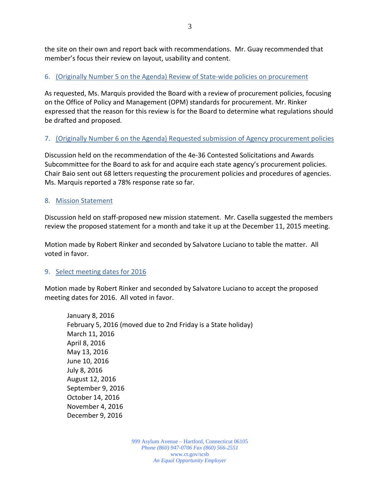the site on their own and report back with recommendations. Mr. Guay recommended that member's focus their review on layout, usability and content.

# 6. (Originally Number 5 on the Agenda) Review of State-wide policies on procurement

As requested, Ms. Marquis provided the Board with a review of procurement policies, focusing on the Office of Policy and Management (OPM) standards for procurement. Mr. Rinker expressed that the reason for this review is for the Board to determine what regulations should be drafted and proposed.

# 7. (Originally Number 6 on the Agenda) Requested submission of Agency procurement policies

Discussion held on the recommendation of the 4e-36 Contested Solicitations and Awards Subcommittee for the Board to ask for and acquire each state agency's procurement policies. Chair Baio sent out 68 letters requesting the procurement policies and procedures of agencies. Ms. Marquis reported a 78% response rate so far.

# 8. Mission Statement

Discussion held on staff-proposed new mission statement. Mr. Casella suggested the members review the proposed statement for a month and take it up at the December 11, 2015 meeting.

Motion made by Robert Rinker and seconded by Salvatore Luciano to table the matter. All voted in favor.

# 9. Select meeting dates for 2016

Motion made by Robert Rinker and seconded by Salvatore Luciano to accept the proposed meeting dates for 2016. All voted in favor.

January 8, 2016 February 5, 2016 (moved due to 2nd Friday is a State holiday) March 11, 2016 April 8, 2016 May 13, 2016 June 10, 2016 July 8, 2016 August 12, 2016 September 9, 2016 October 14, 2016 November 4, 2016 December 9, 2016

> 999 Asylum Avenue – Hartford, Connecticut 06105 *Phone (860) 947-0706 Fax (860) 566-2551* www.ct.gov/scsb *An Equal Opportunity Employer*